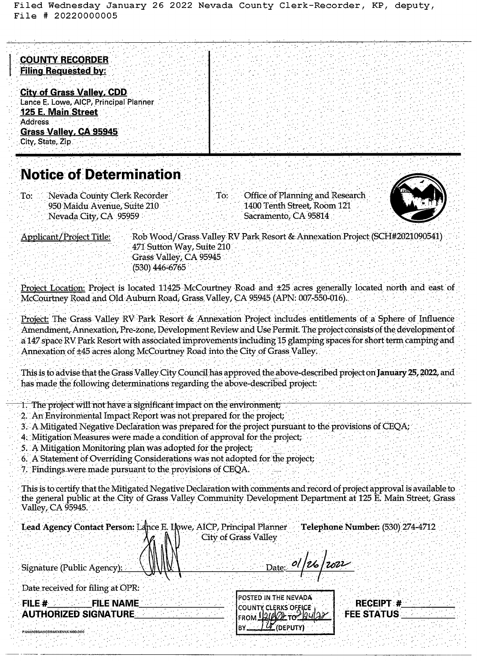Filed Wednesday January 26 2022 Nevada County Clerk-Recorder, KP, deputy, File # 20220000005

## **COUNTY RECORDER Filing Requested by:**

**City of Grass Valley, CDD** Lance E. Lowe, AICP, Principal Planner **125 E. Main Street Address** Grass Valley, CA 95945 City, State, Zip

## **Notice of Determination**

Nevada County Clerk Recorder To: 950 Maidu Avenue, Suite 210 Nevada City, CA 95959

Office of Planning and Research 1400 Tenth Street, Room 121 Sacramento, CA 95814



**Applicant/Project Title:** 

P:\2022\CEQA\NODS\MCKENNA`NOD.DOC

Rob Wood/Grass Valley RV Park Resort & Annexation Project (SCH#2021090541) 471 Sutton Way, Suite 210 Grass Valley, CA 95945 (530) 446-6765

Project Location: Project is located 11425 McCourtney Road and ±25 acres generally located north and east of McCourtney Road and Old Auburn Road, Grass Valley, CA 95945 (APN: 007-550-016).

:To:

Project: The Grass Valley RV Park Resort & Annexation Project includes entitlements of a Sphere of Influence Amendment, Annexation, Pre-zone, Development Review and Use Permit. The project consists of the development of a 147 space RV Park Resort with associated improvements including 15 glamping spaces for short term camping and Annexation of ±45 acres along McCourtney Road into the City of Grass Valley.

This is to advise that the Grass Valley City Council has approved the above-described project on January 25, 2022, and has made the following determinations regarding the above-described project:

- 1. The project will not have a significant impact on the environment,
- 2. An Environmental Impact Report was not prepared for the project;
- 3. A Mitigated Negative Declaration was prepared for the project pursuant to the provisions of CEQA;
- 4. Mitigation Measures were made a condition of approval for the project.
- 5. A Mitigation Monitoring plan was adopted for the project;
- 6. A Statement of Overriding Considerations was not adopted for the project;
- 7. Findings were made pursuant to the provisions of CEQA.

This is to certify that the Mitigated Negative Declaration with comments and record of project approval is available to the general public at the City of Grass Valley Community Development Department at 125 E. Main Street, Grass Valley, CA 95945.

| Lead Agency Contact Person: Lance E. Ilowe, AICP, Principal Planner Telephone Number: (530) 274-4712 |                                                                           |                                |
|------------------------------------------------------------------------------------------------------|---------------------------------------------------------------------------|--------------------------------|
| W<br>Signature (Public Agency):                                                                      | City of Grass Valley                                                      | $_{\text{Date:}}$ ol/26/2022   |
| Date received for filing at OPR:                                                                     |                                                                           |                                |
| <b>FILE NAME</b><br>FILE $#$<br><b>AUTHORIZED SIGNATURE</b>                                          | POSTED IN THE NEVADA<br>ICOUNTY CLERKS OFFICE<br>$L = 1.100000 - 2000000$ | RECEIPT #<br><b>FEE STATUS</b> |

(DEPUTY)